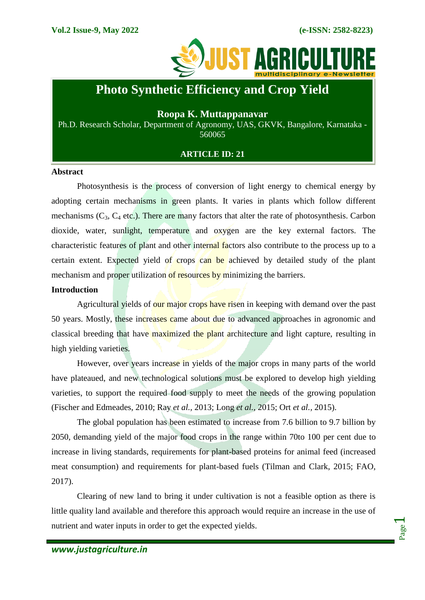

# **Photo Synthetic Efficiency and Crop Yield**

# **Roopa K. Muttappanavar**

Ph.D. Research Scholar, Department of Agronomy, UAS, GKVK, Bangalore, Karnataka - 560065

# **ARTICLE ID: 21**

#### **Abstract**

Photosynthesis is the process of conversion of light energy to chemical energy by adopting certain mechanisms in green plants. It varies in plants which follow different mechanisms  $(C_3, C_4$  etc.). There are many factors that alter the rate of photosynthesis. Carbon dioxide, water, sunlight, temperature and oxygen are the key external factors. The characteristic features of plant and other internal factors also contribute to the process up to a certain extent. Expected yield of crops can be achieved by detailed study of the plant mechanism and proper utilization of resources by minimizing the barriers.

## **Introduction**

Agricultural yields of our major crops have risen in keeping with demand over the past 50 years. Mostly, these increases came about due to advanced approaches in agronomic and classical breeding that have maximized the plant architecture and light capture, resulting in high yielding varieties.

However, over years increase in yields of the major crops in many parts of the world have plateaued, and new technological solutions must be explored to develop high yielding varieties, to support the required food supply to meet the needs of the growing population (Fischer and Edmeades, 2010; Ray *et al.,* 2013; Long *et al.,* 2015; Ort *et al.,* 2015).

The global population has been estimated to increase from 7.6 billion to 9.7 billion by 2050, demanding yield of the major food crops in the range within 70to 100 per cent due to increase in living standards, requirements for plant-based proteins for animal feed (increased meat consumption) and requirements for plant-based fuels (Tilman and Clark, 2015; FAO, 2017).

Clearing of new land to bring it under cultivation is not a feasible option as there is little quality land available and therefore this approach would require an increase in the use of nutrient and water inputs in order to get the expected yields.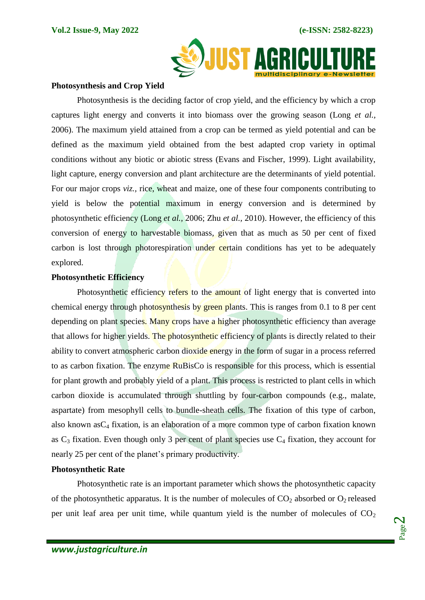

#### **Photosynthesis and Crop Yield**

Photosynthesis is the deciding factor of crop yield, and the efficiency by which a crop captures light energy and converts it into biomass over the growing season (Long *et al.,* 2006). The maximum yield attained from a crop can be termed as yield potential and can be defined as the maximum yield obtained from the best adapted crop variety in optimal conditions without any biotic or abiotic stress (Evans and Fischer, 1999). Light availability, light capture, energy conversion and plant architecture are the determinants of yield potential. For our major crops *viz.,* rice, wheat and maize, one of these four components contributing to yield is below the potential maximum in energy conversion and is determined by photosynthetic efficiency (Long *et al.,* 2006; Zhu *et al.,* 2010). However, the efficiency of this conversion of energy to harvestable biomass, given that as much as 50 per cent of fixed carbon is lost through photorespiration under certain conditions has yet to be adequately explored.

## **Photosynthetic Efficiency**

Photosynthetic efficiency refers to the amount of light energy that is converted into chemical energy through photosynthesis by green plants. This is ranges from 0.1 to 8 per cent depending on plant species. Many crops have a higher photosynthetic efficiency than average that allows for higher yields. The photosynthetic efficiency of plants is directly related to their ability to convert atmospheric carbon dioxide energy in the form of sugar in a process referred to as carbon fixation. The enzyme RuBisCo is responsible for this process, which is essential for plant growth and probably yield of a plant. This process is restricted to plant cells in which carbon dioxide is accumulated through shuttling by four-carbon compounds (e.g., malate, aspartate) from mesophyll cells to bundle-sheath cells. The fixation of this type of carbon, also known as $C_4$  fixation, is an elaboration of a more common type of carbon fixation known as  $C_3$  fixation. Even though only 3 per cent of plant species use  $C_4$  fixation, they account for nearly 25 per cent of the planet's primary productivity.

# **Photosynthetic Rate**

Photosynthetic rate is an important parameter which shows the photosynthetic capacity of the photosynthetic apparatus. It is the number of molecules of  $CO<sub>2</sub>$  absorbed or  $O<sub>2</sub>$  released per unit leaf area per unit time, while quantum yield is the number of molecules of  $CO<sub>2</sub>$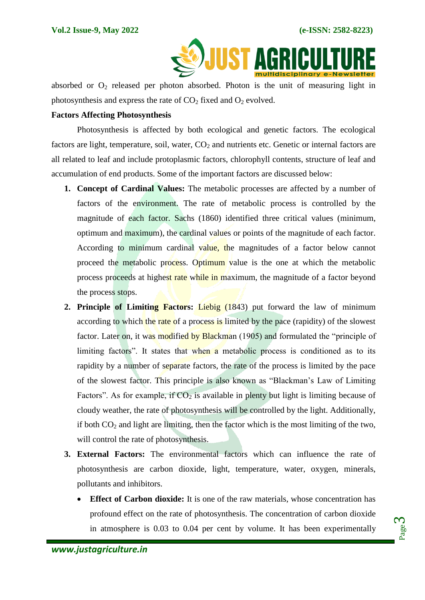

absorbed or  $O_2$  released per photon absorbed. Photon is the unit of measuring light in photosynthesis and express the rate of  $CO<sub>2</sub>$  fixed and  $O<sub>2</sub>$  evolved.

#### **Factors Affecting Photosynthesis**

Photosynthesis is affected by both ecological and genetic factors. The ecological factors are light, temperature, soil, water,  $CO<sub>2</sub>$  and nutrients etc. Genetic or internal factors are all related to leaf and include protoplasmic factors, chlorophyll contents, structure of leaf and accumulation of end products. Some of the important factors are discussed below:

- **1. Concept of Cardinal Values:** The metabolic processes are affected by a number of factors of the environment. The rate of metabolic process is controlled by the magnitude of each factor. Sachs (1860) identified three critical values (minimum, optimum and maximum), the cardinal values or points of the magnitude of each factor. According to minimum cardinal value, the magnitudes of a factor below cannot proceed the metabolic process. Optimum value is the one at which the metabolic process proceeds at highest rate while in maximum, the magnitude of a factor beyond the process stops.
- **2. Principle of Limiting Factors:** Liebig (1843) put forward the law of minimum according to which the rate of a process is limited by the pace (rapidity) of the slowest factor. Later on, it was modified by Blackman (1905) and formulated the "principle of limiting factors". It states that when a metabolic process is conditioned as to its rapidity by a number of separate factors, the rate of the process is limited by the pace of the slowest factor. This principle is also known as "Blackman's Law of Limiting Factors". As for example, if  $CO<sub>2</sub>$  is available in plenty but light is limiting because of cloudy weather, the rate of photosynthesis will be controlled by the light. Additionally, if both  $CO<sub>2</sub>$  and light are limiting, then the factor which is the most limiting of the two, will control the rate of photosynthesis.
- **3. External Factors:** The environmental factors which can influence the rate of photosynthesis are carbon dioxide, light, temperature, water, oxygen, minerals, pollutants and inhibitors.
	- **Effect of Carbon dioxide:** It is one of the raw materials, whose concentration has profound effect on the rate of photosynthesis. The concentration of carbon dioxide in atmosphere is 0.03 to 0.04 per cent by volume. It has been experimentally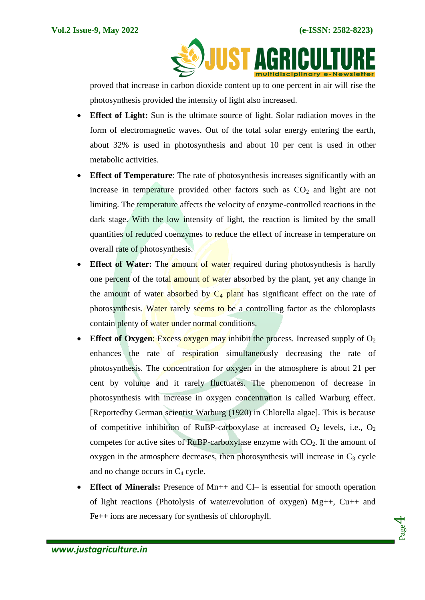**SOJUST AGRICULT** 

proved that increase in carbon dioxide content up to one percent in air will rise the photosynthesis provided the intensity of light also increased.

- **Effect of Light:** Sun is the ultimate source of light. Solar radiation moves in the form of electromagnetic waves. Out of the total solar energy entering the earth, about 32% is used in photosynthesis and about 10 per cent is used in other metabolic activities.
- **Effect of Temperature**: The rate of photosynthesis increases significantly with an increase in temperature provided other factors such as  $CO<sub>2</sub>$  and light are not limiting. The temperature affects the velocity of enzyme-controlled reactions in the dark stage. With the low intensity of light, the reaction is limited by the small quantities of reduced coenzymes to reduce the effect of increase in temperature on overall rate of photosynthesis.
- **Effect of Water:** The **amount of water** required during photosynthesis is hardly one percent of the total amount of water absorbed by the plant, yet any change in the amount of water absorbed by  $C_4$  plant has significant effect on the rate of photosynthesis. Water rarely seems to be a controlling factor as the chloroplasts contain plenty of water under normal conditions.
- **Effect of Oxygen:** Excess oxygen may inhibit the process. Increased supply of  $O_2$ enhances the rate of respiration simultaneously decreasing the rate of photosynthesis. The concentration for oxygen in the atmosphere is about 21 per cent by volume and it rarely fluctuates. The phenomenon of decrease in photosynthesis with increase in oxygen concentration is called Warburg effect. [Reportedby German scientist Warburg (1920) in Chlorella algae]. This is because of competitive inhibition of RuBP-carboxylase at increased  $O_2$  levels, i.e.,  $O_2$ competes for active sites of RuBP-carboxylase enzyme with  $CO<sub>2</sub>$ . If the amount of oxygen in the atmosphere decreases, then photosynthesis will increase in  $C_3$  cycle and no change occurs in  $C_4$  cycle.
- **Effect of Minerals:** Presence of Mn++ and CI– is essential for smooth operation of light reactions (Photolysis of water/evolution of oxygen) Mg++, Cu++ and Fe++ ions are necessary for synthesis of chlorophyll.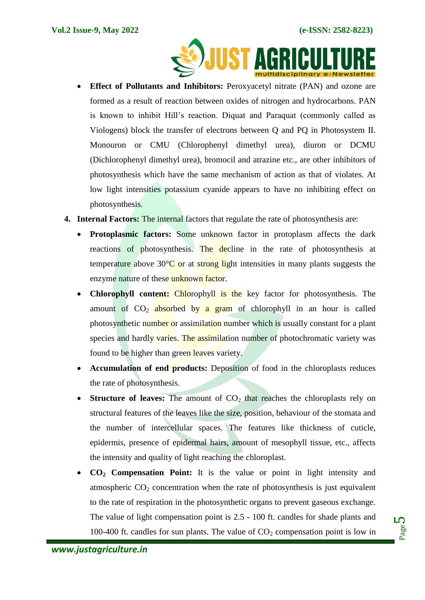

- **Effect of Pollutants and Inhibitors:** Peroxyacetyl nitrate (PAN) and ozone are formed as a result of reaction between oxides of nitrogen and hydrocarbons. PAN is known to inhibit Hill's reaction. Diquat and Paraquat (commonly called as Viologens) block the transfer of electrons between Q and PQ in Photosystem II. Monouron or CMU (Chlorophenyl dimethyl urea), diuron or DCMU (Dichlorophenyl dimethyl urea), bromocil and atrazine etc., are other inhibitors of photosynthesis which have the same mechanism of action as that of violates. At low light intensities potassium cyanide appears to have no inhibiting effect on photosynthesis.
- **4. Internal Factors:** The internal factors that regulate the rate of photosynthesis are:
	- Protoplasmic factors: Some unknown factor in protoplasm affects the dark reactions of photosynthesis. The decline in the rate of photosynthesis at temperature above 30 $\degree$ C or at strong light intensities in many plants suggests the enzyme nature of these unknown factor.
	- **Chlorophyll content:** Chlorophyll is the key factor for photosynthesis. The amount of  $CO<sub>2</sub>$  absorbed by a gram of chlorophyll in an hour is called photosynthetic number or assimilation number which is usually constant for a plant species and hardly varies. The assimilation number of photochromatic variety was found to be higher than green leaves variety.
	- **Accumulation of end products:** Deposition of food in the chloroplasts reduces the rate of photosynthesis.
	- **Structure of leaves:** The amount of  $CO<sub>2</sub>$  that reaches the chloroplasts rely on structural features of the leaves like the size, position, behaviour of the stomata and the number of intercellular spaces. The features like thickness of cuticle, epidermis, presence of epidermal hairs, amount of mesophyll tissue, etc., affects the intensity and quality of light reaching the chloroplast.
	- **CO<sup>2</sup> Compensation Point:** It is the value or point in light intensity and atmospheric  $CO<sub>2</sub>$  concentration when the rate of photosynthesis is just equivalent to the rate of respiration in the photosynthetic organs to prevent gaseous exchange. The value of light compensation point is 2.5 - 100 ft. candles for shade plants and 100-400 ft. candles for sun plants. The value of  $CO<sub>2</sub>$  compensation point is low in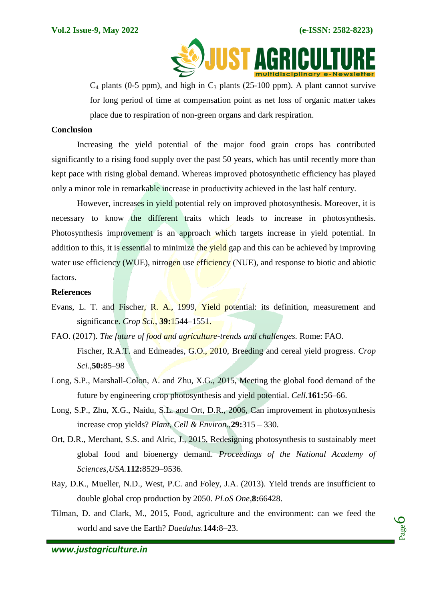

 $C_4$  plants (0-5 ppm), and high in  $C_3$  plants (25-100 ppm). A plant cannot survive for long period of time at compensation point as net loss of organic matter takes place due to respiration of non-green organs and dark respiration.

## **Conclusion**

Increasing the yield potential of the major food grain crops has contributed significantly to a rising food supply over the past 50 years, which has until recently more than kept pace with rising global demand. Whereas improved photosynthetic efficiency has played only a minor role in remarkable increase in productivity achieved in the last half century.

However, increases in yield potential rely on improved photosynthesis. Moreover, it is necessary to know the different traits which leads to increase in photosynthesis. Photosynthesis improvement is an approach which targets increase in yield potential. In addition to this, it is essential to minimize the yield gap and this can be achieved by improving water use efficiency (WUE), nitrogen use efficiency (NUE), and response to biotic and abiotic factors.

#### **References**

- Evans, L. T. and Fischer, R. A., 1999, Yield potential: its definition, measurement and significance. *Crop Sci.*, **39:**1544–1551.
- FAO. (2017). *The future of food and agriculture-trends and challenges.* Rome: FAO. Fischer, R.A.T. and Edmeades, G.O., 2010, Breeding and cereal yield progress. *Crop Sci.,***50:**85–98
- Long, S.P., Marshall-Colon, A. and Zhu, X.G., 2015, Meeting the global food demand of the future by engineering crop photosynthesis and yield potential. *Cell.***161:**56–66.
- Long, S.P., Zhu, X.G., Naidu, S.L. and Ort, D.R., 2006, Can improvement in photosynthesis increase crop yields? *Plant, Cell & Environ.,***29:**315 – 330.
- Ort, D.R., Merchant, S.S. and Alric, J., 2015, Redesigning photosynthesis to sustainably meet global food and bioenergy demand. *Proceedings of the National Academy of Sciences,USA.***112:**8529–9536.
- Ray, D.K., Mueller, N.D., West, P.C. and Foley, J.A. (2013). Yield trends are insufficient to double global crop production by 2050. *PLoS One,***8:**66428.
- Tilman, D. and Clark, M., 2015, Food, agriculture and the environment: can we feed the world and save the Earth? *Daedalus.***144:**8–23.

Page  $\overline{\mathcal{O}}$